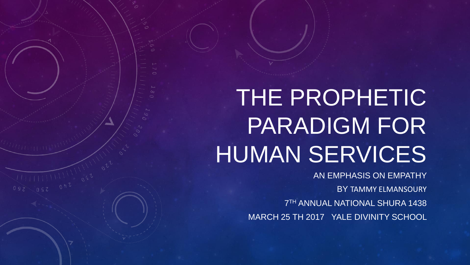# THE PROPHETIC PARADIGM FOR HUMAN SERVICES

AN EMPHASIS ON EMPATHY BY TAMMY ELMANSOURY 7 TH ANNUAL NATIONAL SHURA 1438 MARCH 25 TH 2017 YALE DIVINITY SCHOOL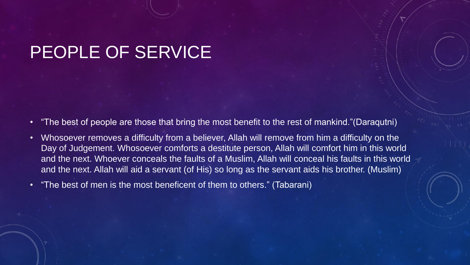## PEOPLE OF SERVICE

- "The best of people are those that bring the most benefit to the rest of mankind."(Daraqutni)
- Whosoever removes a difficulty from a believer, Allah will remove from him a difficulty on the Day of Judgement. Whosoever comforts a destitute person, Allah will comfort him in this world and the next. Whoever conceals the faults of a Muslim, Allah will conceal his faults in this world and the next. Allah will aid a servant (of His) so long as the servant aids his brother. (Muslim)
- "The best of men is the most beneficent of them to others." (Tabarani)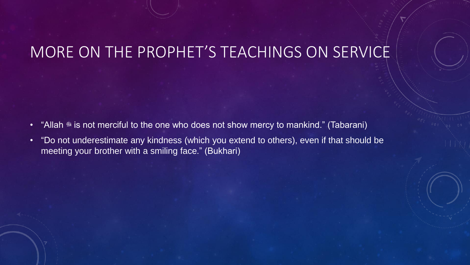#### MORE ON THE PROPHET'S TEACHINGS ON SERVICE

- "Allah \* is not merciful to the one who does not show mercy to mankind." (Tabarani)
- "Do not underestimate any kindness (which you extend to others), even if that should be meeting your brother with a smiling face." (Bukhari)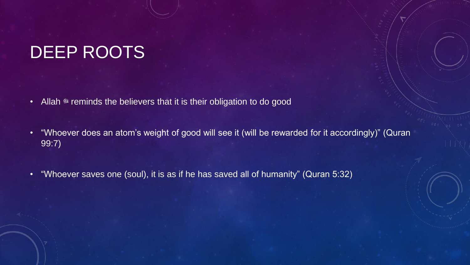## DEEP ROOTS

- Allah \* reminds the believers that it is their obligation to do good
- "Whoever does an atom's weight of good will see it (will be rewarded for it accordingly)" (Quran 99:7)
- "Whoever saves one (soul), it is as if he has saved all of humanity" (Quran 5:32)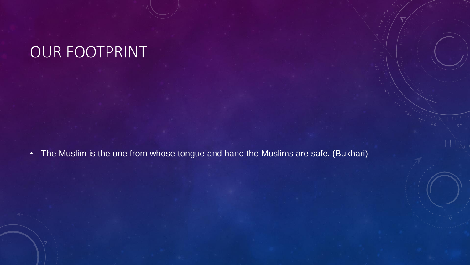## OUR FOOTPRINT

• The Muslim is the one from whose tongue and hand the Muslims are safe. (Bukhari)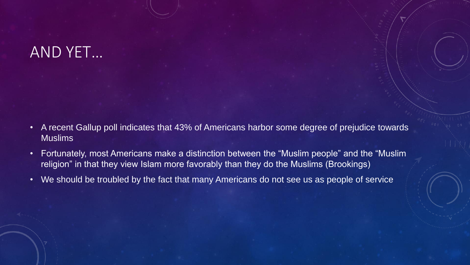### AND YET…

- A recent Gallup poll indicates that 43% of Americans harbor some degree of prejudice towards Muslims
- Fortunately, most Americans make a distinction between the "Muslim people" and the "Muslim religion" in that they view Islam more favorably than they do the Muslims (Brookings)
- We should be troubled by the fact that many Americans do not see us as people of service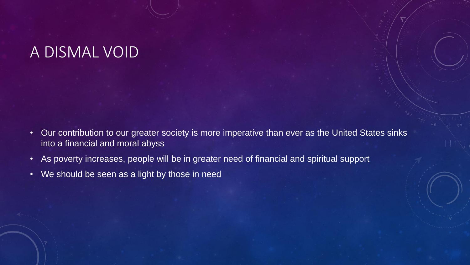#### A DISMAL VOID

- Our contribution to our greater society is more imperative than ever as the United States sinks into a financial and moral abyss
- As poverty increases, people will be in greater need of financial and spiritual support
- We should be seen as a light by those in need